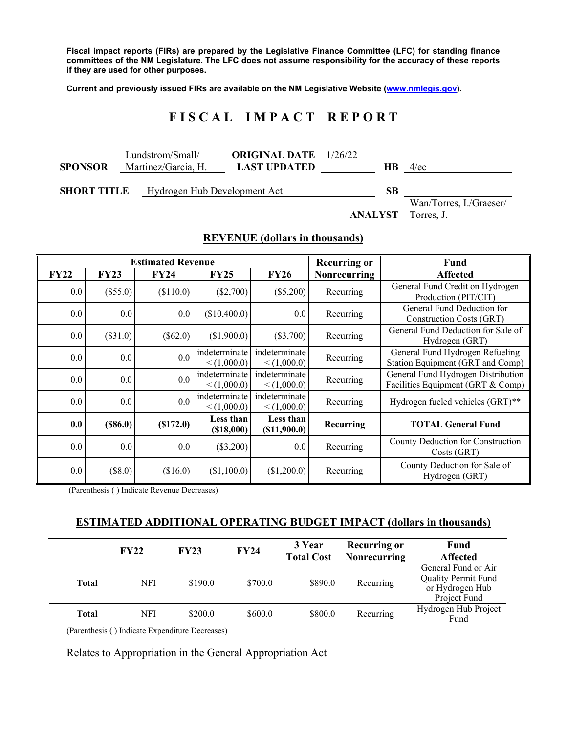**Fiscal impact reports (FIRs) are prepared by the Legislative Finance Committee (LFC) for standing finance committees of the NM Legislature. The LFC does not assume responsibility for the accuracy of these reports if they are used for other purposes.** 

**Current and previously issued FIRs are available on the NM Legislative Website (www.nmlegis.gov).** 

# **F I S C A L I M P A C T R E P O R T**

| <b>SPONSOR</b> | Lundstrom/Small/<br>Martinez/Garcia, H.            | <b>ORIGINAL DATE</b> $1/26/22$<br><b>LAST UPDATED</b> | HВ | $4$ /ec                               |
|----------------|----------------------------------------------------|-------------------------------------------------------|----|---------------------------------------|
|                | Hydrogen Hub Development Act<br><b>SHORT TITLE</b> |                                                       |    | Wan/Torres, I./Graeser/<br>Torres, J. |

#### **REVENUE (dollars in thousands)**

| <b>Estimated Revenue</b> |             |            |                              |                              | <b>Recurring or</b> | <b>Fund</b>                                                             |
|--------------------------|-------------|------------|------------------------------|------------------------------|---------------------|-------------------------------------------------------------------------|
| <b>FY22</b>              | <b>FY23</b> | FY24       | <b>FY25</b>                  | <b>FY26</b>                  | Nonrecurring        | <b>Affected</b>                                                         |
| 0.0                      | $(\$55.0)$  | (\$110.0)  | $(\$2,700)$                  | $(\$5,200)$                  | Recurring           | General Fund Credit on Hydrogen<br>Production (PIT/CIT)                 |
| 0.0                      | 0.0         | 0.0        | (\$10,400.0)                 | 0.0                          | Recurring           | General Fund Deduction for<br>Construction Costs (GRT)                  |
| 0.0                      | $(\$31.0)$  | $(\$62.0)$ | (\$1,900.0)                  | $(\$3,700)$                  | Recurring           | General Fund Deduction for Sale of<br>Hydrogen (GRT)                    |
| 0.0                      | 0.0         | 0.0        | indeterminate<br>< (1,000.0) | indeterminate<br>< (1.000.0) | Recurring           | General Fund Hydrogen Refueling<br>Station Equipment (GRT and Comp)     |
| 0.0                      | 0.0         | 0.0        | indeterminate<br>< (1,000.0) | indeterminate<br>< (1,000.0) | Recurring           | General Fund Hydrogen Distribution<br>Facilities Equipment (GRT & Comp) |
| 0.0                      | 0.0         | 0.0        | indeterminate<br>< (1,000.0) | indeterminate<br>< (1,000.0) | Recurring           | Hydrogen fueled vehicles (GRT)**                                        |
| 0.0                      | (\$86.0)    | (S172.0)   | Less than<br>(\$18,000)      | Less than<br>$($ \$11,900.0) | Recurring           | <b>TOTAL General Fund</b>                                               |
| 0.0                      | 0.0         | 0.0        | $(\$3,200)$                  | 0.0                          | Recurring           | County Deduction for Construction<br>Costs (GRT)                        |
| 0.0                      | $(\$8.0)$   | (\$16.0)   | (\$1,100.0)                  | (\$1,200.0)                  | Recurring           | County Deduction for Sale of<br>Hydrogen (GRT)                          |

(Parenthesis ( ) Indicate Revenue Decreases)

#### **ESTIMATED ADDITIONAL OPERATING BUDGET IMPACT (dollars in thousands)**

|       | <b>FY22</b> | <b>FY23</b> | <b>FY24</b> | 3 Year            | <b>Recurring or</b> | Fund                                                                                 |
|-------|-------------|-------------|-------------|-------------------|---------------------|--------------------------------------------------------------------------------------|
|       |             |             |             | <b>Total Cost</b> | <b>Nonrecurring</b> | <b>Affected</b>                                                                      |
| Total | NFI         | \$190.0     | \$700.0     | \$890.0           | Recurring           | General Fund or Air<br><b>Quality Permit Fund</b><br>or Hydrogen Hub<br>Project Fund |
| Total | NFI         | \$200.0     | \$600.0     | \$800.0           | Recurring           | Hydrogen Hub Project<br>Fund                                                         |

(Parenthesis ( ) Indicate Expenditure Decreases)

Relates to Appropriation in the General Appropriation Act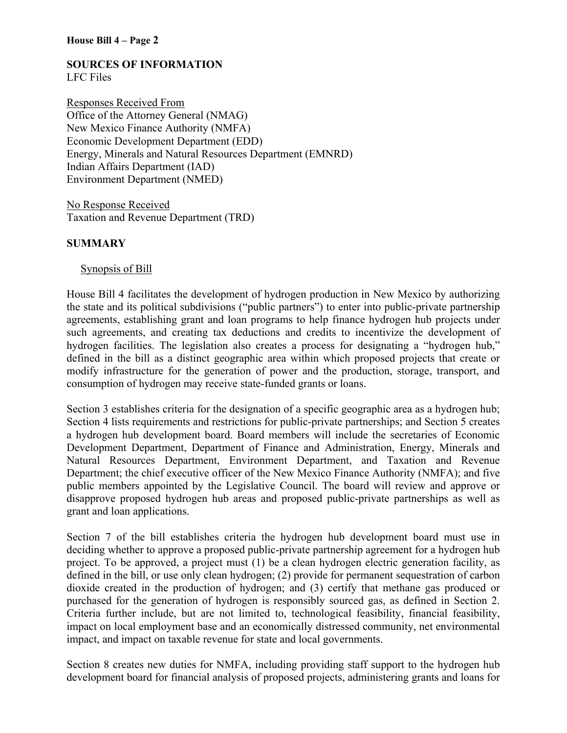#### **SOURCES OF INFORMATION**  LFC Files

Responses Received From Office of the Attorney General (NMAG) New Mexico Finance Authority (NMFA) Economic Development Department (EDD) Energy, Minerals and Natural Resources Department (EMNRD) Indian Affairs Department (IAD) Environment Department (NMED)

No Response Received Taxation and Revenue Department (TRD)

### **SUMMARY**

### Synopsis of Bill

House Bill 4 facilitates the development of hydrogen production in New Mexico by authorizing the state and its political subdivisions ("public partners") to enter into public-private partnership agreements, establishing grant and loan programs to help finance hydrogen hub projects under such agreements, and creating tax deductions and credits to incentivize the development of hydrogen facilities. The legislation also creates a process for designating a "hydrogen hub," defined in the bill as a distinct geographic area within which proposed projects that create or modify infrastructure for the generation of power and the production, storage, transport, and consumption of hydrogen may receive state-funded grants or loans.

Section 3 establishes criteria for the designation of a specific geographic area as a hydrogen hub; Section 4 lists requirements and restrictions for public-private partnerships; and Section 5 creates a hydrogen hub development board. Board members will include the secretaries of Economic Development Department, Department of Finance and Administration, Energy, Minerals and Natural Resources Department, Environment Department, and Taxation and Revenue Department; the chief executive officer of the New Mexico Finance Authority (NMFA); and five public members appointed by the Legislative Council. The board will review and approve or disapprove proposed hydrogen hub areas and proposed public-private partnerships as well as grant and loan applications.

Section 7 of the bill establishes criteria the hydrogen hub development board must use in deciding whether to approve a proposed public-private partnership agreement for a hydrogen hub project. To be approved, a project must (1) be a clean hydrogen electric generation facility, as defined in the bill, or use only clean hydrogen; (2) provide for permanent sequestration of carbon dioxide created in the production of hydrogen; and (3) certify that methane gas produced or purchased for the generation of hydrogen is responsibly sourced gas, as defined in Section 2. Criteria further include, but are not limited to, technological feasibility, financial feasibility, impact on local employment base and an economically distressed community, net environmental impact, and impact on taxable revenue for state and local governments.

Section 8 creates new duties for NMFA, including providing staff support to the hydrogen hub development board for financial analysis of proposed projects, administering grants and loans for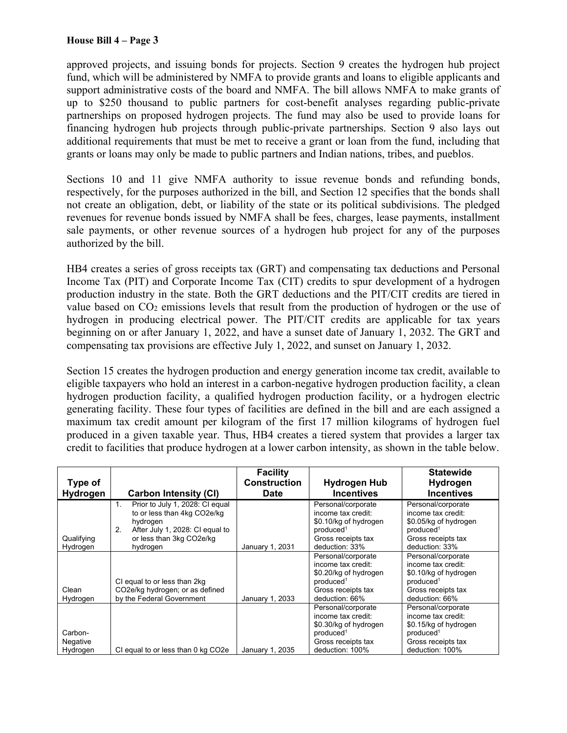approved projects, and issuing bonds for projects. Section 9 creates the hydrogen hub project fund, which will be administered by NMFA to provide grants and loans to eligible applicants and support administrative costs of the board and NMFA. The bill allows NMFA to make grants of up to \$250 thousand to public partners for cost-benefit analyses regarding public-private partnerships on proposed hydrogen projects. The fund may also be used to provide loans for financing hydrogen hub projects through public-private partnerships. Section 9 also lays out additional requirements that must be met to receive a grant or loan from the fund, including that grants or loans may only be made to public partners and Indian nations, tribes, and pueblos.

Sections 10 and 11 give NMFA authority to issue revenue bonds and refunding bonds, respectively, for the purposes authorized in the bill, and Section 12 specifies that the bonds shall not create an obligation, debt, or liability of the state or its political subdivisions. The pledged revenues for revenue bonds issued by NMFA shall be fees, charges, lease payments, installment sale payments, or other revenue sources of a hydrogen hub project for any of the purposes authorized by the bill.

HB4 creates a series of gross receipts tax (GRT) and compensating tax deductions and Personal Income Tax (PIT) and Corporate Income Tax (CIT) credits to spur development of a hydrogen production industry in the state. Both the GRT deductions and the PIT/CIT credits are tiered in value based on CO2 emissions levels that result from the production of hydrogen or the use of hydrogen in producing electrical power. The PIT/CIT credits are applicable for tax years beginning on or after January 1, 2022, and have a sunset date of January 1, 2032. The GRT and compensating tax provisions are effective July 1, 2022, and sunset on January 1, 2032.

Section 15 creates the hydrogen production and energy generation income tax credit, available to eligible taxpayers who hold an interest in a carbon-negative hydrogen production facility, a clean hydrogen production facility, a qualified hydrogen production facility, or a hydrogen electric generating facility. These four types of facilities are defined in the bill and are each assigned a maximum tax credit amount per kilogram of the first 17 million kilograms of hydrogen fuel produced in a given taxable year. Thus, HB4 creates a tiered system that provides a larger tax credit to facilities that produce hydrogen at a lower carbon intensity, as shown in the table below.

|                                 |                                                                                                                                                                               | <b>Facility</b>                    |                                                                                                                                     | <b>Statewide</b>                                                                                                                    |
|---------------------------------|-------------------------------------------------------------------------------------------------------------------------------------------------------------------------------|------------------------------------|-------------------------------------------------------------------------------------------------------------------------------------|-------------------------------------------------------------------------------------------------------------------------------------|
| Type of<br>Hydrogen             | <b>Carbon Intensity (CI)</b>                                                                                                                                                  | <b>Construction</b><br><b>Date</b> | <b>Hydrogen Hub</b><br><b>Incentives</b>                                                                                            | Hydrogen<br><b>Incentives</b>                                                                                                       |
| Qualifying<br>Hydrogen          | Prior to July 1, 2028: CI equal<br>1 <sub>1</sub><br>to or less than 4kg CO2e/kg<br>hydrogen<br>After July 1, 2028: CI equal to<br>2.<br>or less than 3kg CO2e/kg<br>hydrogen | January 1, 2031                    | Personal/corporate<br>income tax credit:<br>\$0.10/kg of hydrogen<br>produced <sup>1</sup><br>Gross receipts tax<br>deduction: 33%  | Personal/corporate<br>income tax credit:<br>\$0.05/kg of hydrogen<br>produced <sup>1</sup><br>Gross receipts tax<br>deduction: 33%  |
| Clean<br>Hydrogen               | CI equal to or less than 2kg<br>CO2e/kg hydrogen; or as defined<br>by the Federal Government                                                                                  | January 1, 2033                    | Personal/corporate<br>income tax credit:<br>\$0.20/kg of hydrogen<br>produced <sup>1</sup><br>Gross receipts tax<br>deduction: 66%  | Personal/corporate<br>income tax credit:<br>\$0.10/kg of hydrogen<br>produced <sup>1</sup><br>Gross receipts tax<br>deduction: 66%  |
| Carbon-<br>Negative<br>Hydrogen | CI equal to or less than 0 kg CO2e                                                                                                                                            | January 1, 2035                    | Personal/corporate<br>income tax credit:<br>\$0.30/kg of hydrogen<br>produced <sup>1</sup><br>Gross receipts tax<br>deduction: 100% | Personal/corporate<br>income tax credit:<br>\$0.15/kg of hydrogen<br>produced <sup>1</sup><br>Gross receipts tax<br>deduction: 100% |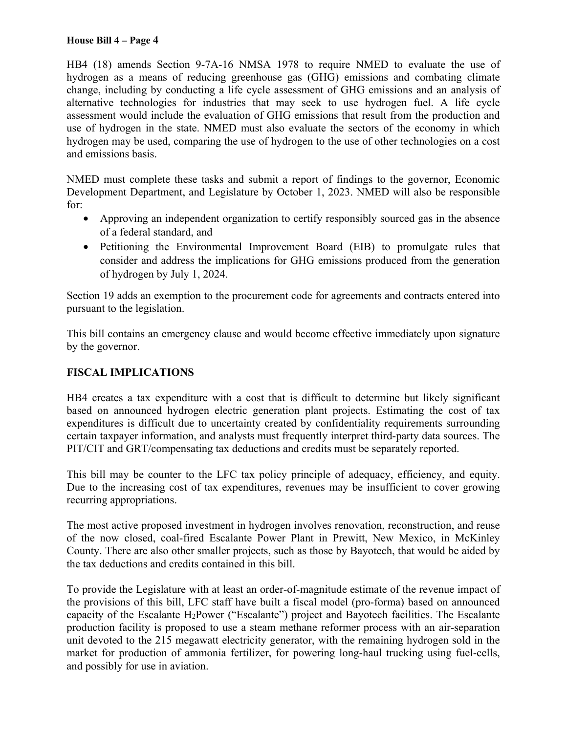HB4 (18) amends Section 9-7A-16 NMSA 1978 to require NMED to evaluate the use of hydrogen as a means of reducing greenhouse gas (GHG) emissions and combating climate change, including by conducting a life cycle assessment of GHG emissions and an analysis of alternative technologies for industries that may seek to use hydrogen fuel. A life cycle assessment would include the evaluation of GHG emissions that result from the production and use of hydrogen in the state. NMED must also evaluate the sectors of the economy in which hydrogen may be used, comparing the use of hydrogen to the use of other technologies on a cost and emissions basis.

NMED must complete these tasks and submit a report of findings to the governor, Economic Development Department, and Legislature by October 1, 2023. NMED will also be responsible for:

- Approving an independent organization to certify responsibly sourced gas in the absence of a federal standard, and
- Petitioning the Environmental Improvement Board (EIB) to promulgate rules that consider and address the implications for GHG emissions produced from the generation of hydrogen by July 1, 2024.

Section 19 adds an exemption to the procurement code for agreements and contracts entered into pursuant to the legislation.

This bill contains an emergency clause and would become effective immediately upon signature by the governor.

# **FISCAL IMPLICATIONS**

HB4 creates a tax expenditure with a cost that is difficult to determine but likely significant based on announced hydrogen electric generation plant projects. Estimating the cost of tax expenditures is difficult due to uncertainty created by confidentiality requirements surrounding certain taxpayer information, and analysts must frequently interpret third-party data sources. The PIT/CIT and GRT/compensating tax deductions and credits must be separately reported.

This bill may be counter to the LFC tax policy principle of adequacy, efficiency, and equity. Due to the increasing cost of tax expenditures, revenues may be insufficient to cover growing recurring appropriations.

The most active proposed investment in hydrogen involves renovation, reconstruction, and reuse of the now closed, coal-fired Escalante Power Plant in Prewitt, New Mexico, in McKinley County. There are also other smaller projects, such as those by Bayotech, that would be aided by the tax deductions and credits contained in this bill.

To provide the Legislature with at least an order-of-magnitude estimate of the revenue impact of the provisions of this bill, LFC staff have built a fiscal model (pro-forma) based on announced capacity of the Escalante H2Power ("Escalante") project and Bayotech facilities. The Escalante production facility is proposed to use a steam methane reformer process with an air-separation unit devoted to the 215 megawatt electricity generator, with the remaining hydrogen sold in the market for production of ammonia fertilizer, for powering long-haul trucking using fuel-cells, and possibly for use in aviation.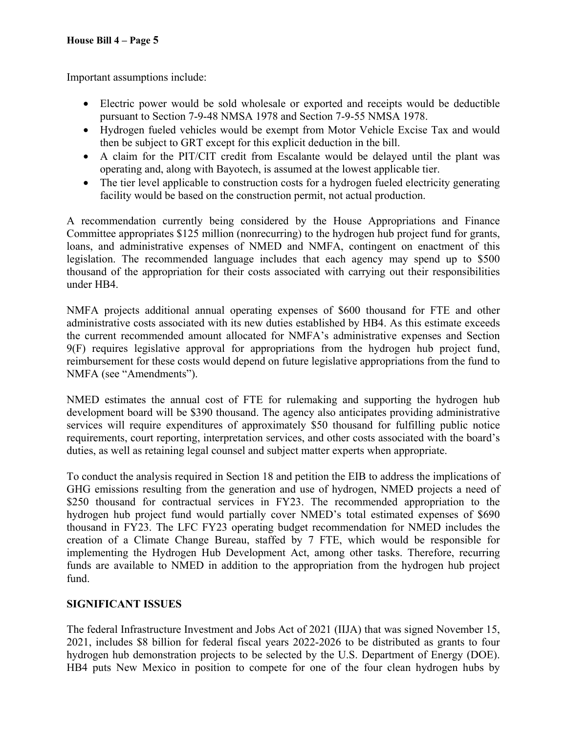Important assumptions include:

- Electric power would be sold wholesale or exported and receipts would be deductible pursuant to Section 7-9-48 NMSA 1978 and Section 7-9-55 NMSA 1978.
- Hydrogen fueled vehicles would be exempt from Motor Vehicle Excise Tax and would then be subject to GRT except for this explicit deduction in the bill.
- A claim for the PIT/CIT credit from Escalante would be delayed until the plant was operating and, along with Bayotech, is assumed at the lowest applicable tier.
- The tier level applicable to construction costs for a hydrogen fueled electricity generating facility would be based on the construction permit, not actual production.

A recommendation currently being considered by the House Appropriations and Finance Committee appropriates \$125 million (nonrecurring) to the hydrogen hub project fund for grants, loans, and administrative expenses of NMED and NMFA, contingent on enactment of this legislation. The recommended language includes that each agency may spend up to \$500 thousand of the appropriation for their costs associated with carrying out their responsibilities under HB4.

NMFA projects additional annual operating expenses of \$600 thousand for FTE and other administrative costs associated with its new duties established by HB4. As this estimate exceeds the current recommended amount allocated for NMFA's administrative expenses and Section 9(F) requires legislative approval for appropriations from the hydrogen hub project fund, reimbursement for these costs would depend on future legislative appropriations from the fund to NMFA (see "Amendments").

NMED estimates the annual cost of FTE for rulemaking and supporting the hydrogen hub development board will be \$390 thousand. The agency also anticipates providing administrative services will require expenditures of approximately \$50 thousand for fulfilling public notice requirements, court reporting, interpretation services, and other costs associated with the board's duties, as well as retaining legal counsel and subject matter experts when appropriate.

To conduct the analysis required in Section 18 and petition the EIB to address the implications of GHG emissions resulting from the generation and use of hydrogen, NMED projects a need of \$250 thousand for contractual services in FY23. The recommended appropriation to the hydrogen hub project fund would partially cover NMED's total estimated expenses of \$690 thousand in FY23. The LFC FY23 operating budget recommendation for NMED includes the creation of a Climate Change Bureau, staffed by 7 FTE, which would be responsible for implementing the Hydrogen Hub Development Act, among other tasks. Therefore, recurring funds are available to NMED in addition to the appropriation from the hydrogen hub project fund.

# **SIGNIFICANT ISSUES**

The federal Infrastructure Investment and Jobs Act of 2021 (IIJA) that was signed November 15, 2021, includes \$8 billion for federal fiscal years 2022-2026 to be distributed as grants to four hydrogen hub demonstration projects to be selected by the U.S. Department of Energy (DOE). HB4 puts New Mexico in position to compete for one of the four clean hydrogen hubs by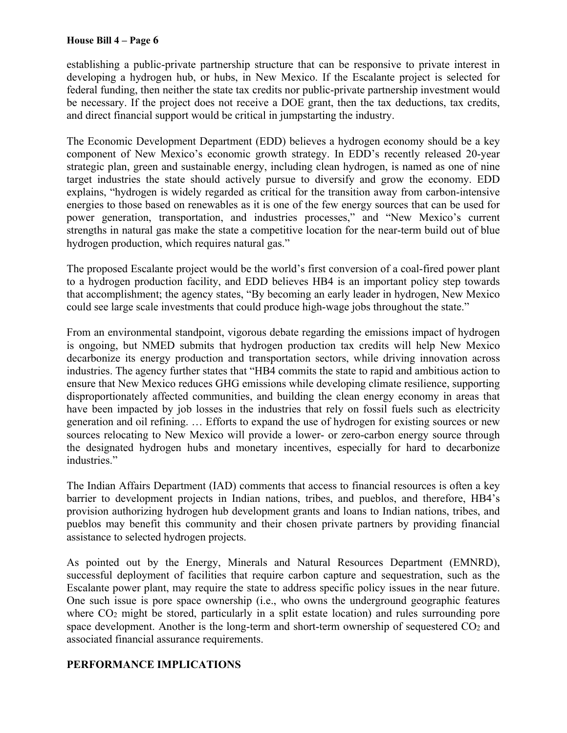establishing a public-private partnership structure that can be responsive to private interest in developing a hydrogen hub, or hubs, in New Mexico. If the Escalante project is selected for federal funding, then neither the state tax credits nor public-private partnership investment would be necessary. If the project does not receive a DOE grant, then the tax deductions, tax credits, and direct financial support would be critical in jumpstarting the industry.

The Economic Development Department (EDD) believes a hydrogen economy should be a key component of New Mexico's economic growth strategy. In EDD's recently released 20-year strategic plan, green and sustainable energy, including clean hydrogen, is named as one of nine target industries the state should actively pursue to diversify and grow the economy. EDD explains, "hydrogen is widely regarded as critical for the transition away from carbon-intensive energies to those based on renewables as it is one of the few energy sources that can be used for power generation, transportation, and industries processes," and "New Mexico's current strengths in natural gas make the state a competitive location for the near-term build out of blue hydrogen production, which requires natural gas."

The proposed Escalante project would be the world's first conversion of a coal-fired power plant to a hydrogen production facility, and EDD believes HB4 is an important policy step towards that accomplishment; the agency states, "By becoming an early leader in hydrogen, New Mexico could see large scale investments that could produce high-wage jobs throughout the state."

From an environmental standpoint, vigorous debate regarding the emissions impact of hydrogen is ongoing, but NMED submits that hydrogen production tax credits will help New Mexico decarbonize its energy production and transportation sectors, while driving innovation across industries. The agency further states that "HB4 commits the state to rapid and ambitious action to ensure that New Mexico reduces GHG emissions while developing climate resilience, supporting disproportionately affected communities, and building the clean energy economy in areas that have been impacted by job losses in the industries that rely on fossil fuels such as electricity generation and oil refining. … Efforts to expand the use of hydrogen for existing sources or new sources relocating to New Mexico will provide a lower- or zero-carbon energy source through the designated hydrogen hubs and monetary incentives, especially for hard to decarbonize industries."

The Indian Affairs Department (IAD) comments that access to financial resources is often a key barrier to development projects in Indian nations, tribes, and pueblos, and therefore, HB4's provision authorizing hydrogen hub development grants and loans to Indian nations, tribes, and pueblos may benefit this community and their chosen private partners by providing financial assistance to selected hydrogen projects.

As pointed out by the Energy, Minerals and Natural Resources Department (EMNRD), successful deployment of facilities that require carbon capture and sequestration, such as the Escalante power plant, may require the state to address specific policy issues in the near future. One such issue is pore space ownership (i.e., who owns the underground geographic features where CO<sub>2</sub> might be stored, particularly in a split estate location) and rules surrounding pore space development. Another is the long-term and short-term ownership of sequestered CO<sub>2</sub> and associated financial assurance requirements.

## **PERFORMANCE IMPLICATIONS**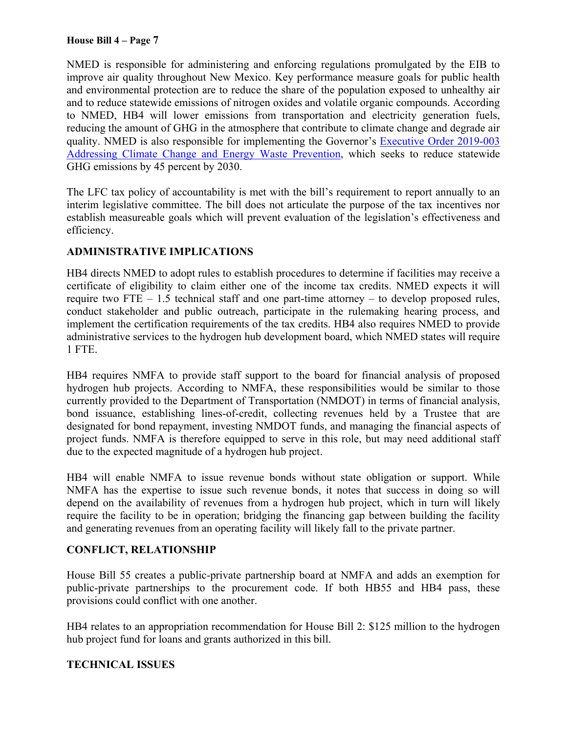NMED is responsible for administering and enforcing regulations promulgated by the EIB to improve air quality throughout New Mexico. Key performance measure goals for public health and environmental protection are to reduce the share of the population exposed to unhealthy air and to reduce statewide emissions of nitrogen oxides and volatile organic compounds. According to NMED, HB4 will lower emissions from transportation and electricity generation fuels, reducing the amount of GHG in the atmosphere that contribute to climate change and degrade air quality. NMED is also responsible for implementing the Governor's Executive Order 2019-003 Addressing Climate Change and Energy Waste Prevention, which seeks to reduce statewide GHG emissions by 45 percent by 2030.

The LFC tax policy of accountability is met with the bill's requirement to report annually to an interim legislative committee. The bill does not articulate the purpose of the tax incentives nor establish measureable goals which will prevent evaluation of the legislation's effectiveness and efficiency.

# **ADMINISTRATIVE IMPLICATIONS**

HB4 directs NMED to adopt rules to establish procedures to determine if facilities may receive a certificate of eligibility to claim either one of the income tax credits. NMED expects it will require two FTE  $-1.5$  technical staff and one part-time attorney  $-$  to develop proposed rules, conduct stakeholder and public outreach, participate in the rulemaking hearing process, and implement the certification requirements of the tax credits. HB4 also requires NMED to provide administrative services to the hydrogen hub development board, which NMED states will require 1 FTE.

HB4 requires NMFA to provide staff support to the board for financial analysis of proposed hydrogen hub projects. According to NMFA, these responsibilities would be similar to those currently provided to the Department of Transportation (NMDOT) in terms of financial analysis, bond issuance, establishing lines-of-credit, collecting revenues held by a Trustee that are designated for bond repayment, investing NMDOT funds, and managing the financial aspects of project funds. NMFA is therefore equipped to serve in this role, but may need additional staff due to the expected magnitude of a hydrogen hub project.

HB4 will enable NMFA to issue revenue bonds without state obligation or support. While NMFA has the expertise to issue such revenue bonds, it notes that success in doing so will depend on the availability of revenues from a hydrogen hub project, which in turn will likely require the facility to be in operation; bridging the financing gap between building the facility and generating revenues from an operating facility will likely fall to the private partner.

## **CONFLICT, RELATIONSHIP**

House Bill 55 creates a public-private partnership board at NMFA and adds an exemption for public-private partnerships to the procurement code. If both HB55 and HB4 pass, these provisions could conflict with one another.

HB4 relates to an appropriation recommendation for House Bill 2: \$125 million to the hydrogen hub project fund for loans and grants authorized in this bill.

## **TECHNICAL ISSUES**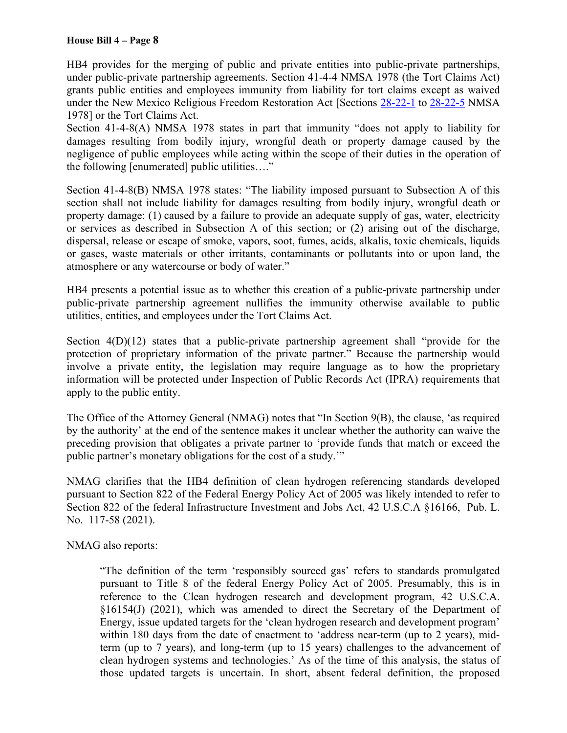HB4 provides for the merging of public and private entities into public-private partnerships, under public-private partnership agreements. Section 41-4-4 NMSA 1978 (the Tort Claims Act) grants public entities and employees immunity from liability for tort claims except as waived under the New Mexico Religious Freedom Restoration Act [Sections 28-22-1 to 28-22-5 NMSA 1978] or the Tort Claims Act.

Section 41-4-8(A) NMSA 1978 states in part that immunity "does not apply to liability for damages resulting from bodily injury, wrongful death or property damage caused by the negligence of public employees while acting within the scope of their duties in the operation of the following [enumerated] public utilities…."

Section 41-4-8(B) NMSA 1978 states: "The liability imposed pursuant to Subsection A of this section shall not include liability for damages resulting from bodily injury, wrongful death or property damage: (1) caused by a failure to provide an adequate supply of gas, water, electricity or services as described in Subsection A of this section; or (2) arising out of the discharge, dispersal, release or escape of smoke, vapors, soot, fumes, acids, alkalis, toxic chemicals, liquids or gases, waste materials or other irritants, contaminants or pollutants into or upon land, the atmosphere or any watercourse or body of water."

HB4 presents a potential issue as to whether this creation of a public-private partnership under public-private partnership agreement nullifies the immunity otherwise available to public utilities, entities, and employees under the Tort Claims Act.

Section  $4(D)(12)$  states that a public-private partnership agreement shall "provide for the protection of proprietary information of the private partner." Because the partnership would involve a private entity, the legislation may require language as to how the proprietary information will be protected under Inspection of Public Records Act (IPRA) requirements that apply to the public entity.

The Office of the Attorney General (NMAG) notes that "In Section 9(B), the clause, 'as required by the authority' at the end of the sentence makes it unclear whether the authority can waive the preceding provision that obligates a private partner to 'provide funds that match or exceed the public partner's monetary obligations for the cost of a study.'"

NMAG clarifies that the HB4 definition of clean hydrogen referencing standards developed pursuant to Section 822 of the Federal Energy Policy Act of 2005 was likely intended to refer to Section 822 of the federal Infrastructure Investment and Jobs Act, 42 U.S.C.A §16166, Pub. L. No. 117-58 (2021).

NMAG also reports:

"The definition of the term 'responsibly sourced gas' refers to standards promulgated pursuant to Title 8 of the federal Energy Policy Act of 2005. Presumably, this is in reference to the Clean hydrogen research and development program, 42 U.S.C.A. §16154(J) (2021), which was amended to direct the Secretary of the Department of Energy, issue updated targets for the 'clean hydrogen research and development program' within 180 days from the date of enactment to 'address near-term (up to 2 years), midterm (up to 7 years), and long-term (up to 15 years) challenges to the advancement of clean hydrogen systems and technologies.' As of the time of this analysis, the status of those updated targets is uncertain. In short, absent federal definition, the proposed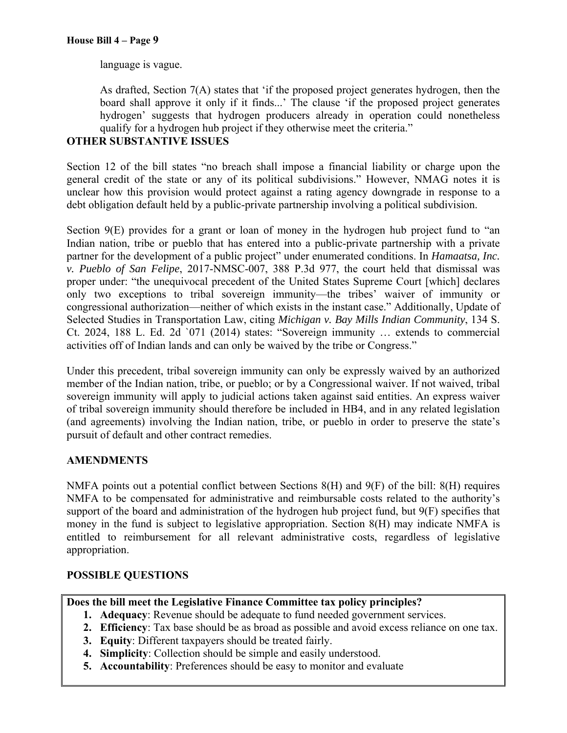language is vague.

As drafted, Section 7(A) states that 'if the proposed project generates hydrogen, then the board shall approve it only if it finds...' The clause 'if the proposed project generates hydrogen' suggests that hydrogen producers already in operation could nonetheless qualify for a hydrogen hub project if they otherwise meet the criteria."

# **OTHER SUBSTANTIVE ISSUES**

Section 12 of the bill states "no breach shall impose a financial liability or charge upon the general credit of the state or any of its political subdivisions." However, NMAG notes it is unclear how this provision would protect against a rating agency downgrade in response to a debt obligation default held by a public-private partnership involving a political subdivision.

Section 9(E) provides for a grant or loan of money in the hydrogen hub project fund to "an Indian nation, tribe or pueblo that has entered into a public-private partnership with a private partner for the development of a public project" under enumerated conditions. In *Hamaatsa, Inc. v. Pueblo of San Felipe*, 2017-NMSC-007, 388 P.3d 977, the court held that dismissal was proper under: "the unequivocal precedent of the United States Supreme Court [which] declares only two exceptions to tribal sovereign immunity—the tribes' waiver of immunity or congressional authorization—neither of which exists in the instant case." Additionally, Update of Selected Studies in Transportation Law, citing *Michigan v. Bay Mills Indian Community*, 134 S. Ct. 2024, 188 L. Ed. 2d `071 (2014) states: "Sovereign immunity … extends to commercial activities off of Indian lands and can only be waived by the tribe or Congress."

Under this precedent, tribal sovereign immunity can only be expressly waived by an authorized member of the Indian nation, tribe, or pueblo; or by a Congressional waiver. If not waived, tribal sovereign immunity will apply to judicial actions taken against said entities. An express waiver of tribal sovereign immunity should therefore be included in HB4, and in any related legislation (and agreements) involving the Indian nation, tribe, or pueblo in order to preserve the state's pursuit of default and other contract remedies.

## **AMENDMENTS**

NMFA points out a potential conflict between Sections 8(H) and 9(F) of the bill: 8(H) requires NMFA to be compensated for administrative and reimbursable costs related to the authority's support of the board and administration of the hydrogen hub project fund, but 9(F) specifies that money in the fund is subject to legislative appropriation. Section 8(H) may indicate NMFA is entitled to reimbursement for all relevant administrative costs, regardless of legislative appropriation.

## **POSSIBLE QUESTIONS**

## **Does the bill meet the Legislative Finance Committee tax policy principles?**

- **1. Adequacy**: Revenue should be adequate to fund needed government services.
- **2. Efficiency**: Tax base should be as broad as possible and avoid excess reliance on one tax.
- **3. Equity**: Different taxpayers should be treated fairly.
- **4. Simplicity**: Collection should be simple and easily understood.
- **5. Accountability**: Preferences should be easy to monitor and evaluate